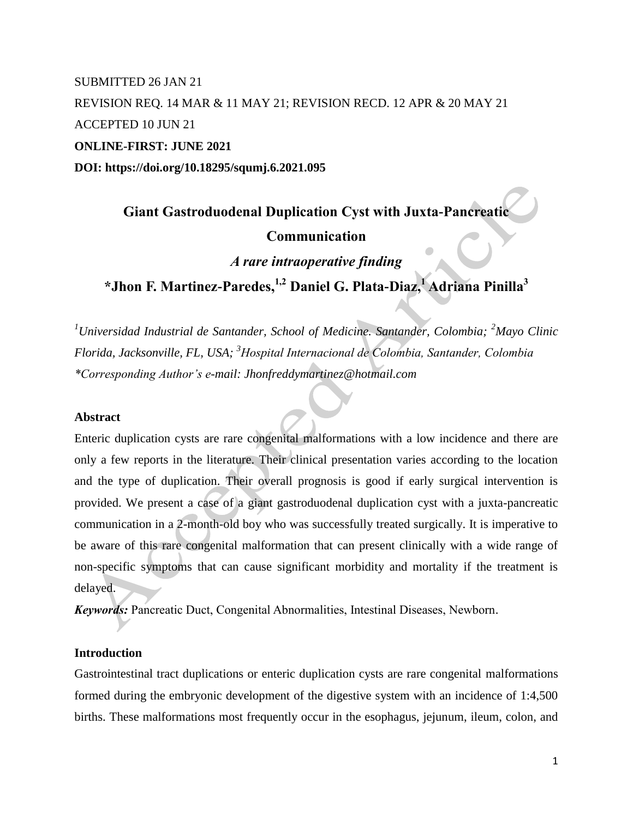## SUBMITTED 26 JAN 21 REVISION REQ. 14 MAR & 11 MAY 21; REVISION RECD. 12 APR & 20 MAY 21 ACCEPTED 10 JUN 21 **ONLINE-FIRST: JUNE 2021 DOI: https://doi.org/10.18295/squmj.6.2021.095**

# **Giant Gastroduodenal Duplication Cyst with Juxta-Pancreatic Communication**

*A rare intraoperative finding*

**\*Jhon F. Martinez-Paredes, 1,2 Daniel G. Plata-Diaz,<sup>1</sup> Adriana Pinilla<sup>3</sup>**

*<sup>1</sup>Universidad Industrial de Santander, School of Medicine. Santander, Colombia; <sup>2</sup>Mayo Clinic Florida, Jacksonville, FL, USA; <sup>3</sup>Hospital Internacional de Colombia, Santander, Colombia \*Corresponding Author's e-mail: Jhonfreddymartinez@hotmail.com*

### **Abstract**

Enteric duplication cysts are rare congenital malformations with a low incidence and there are only a few reports in the literature. Their clinical presentation varies according to the location and the type of duplication. Their overall prognosis is good if early surgical intervention is provided. We present a case of a giant gastroduodenal duplication cyst with a juxta-pancreatic communication in a 2-month-old boy who was successfully treated surgically. It is imperative to be aware of this rare congenital malformation that can present clinically with a wide range of non-specific symptoms that can cause significant morbidity and mortality if the treatment is delayed.

*Keywords:* Pancreatic Duct, Congenital Abnormalities, Intestinal Diseases, Newborn.

#### **Introduction**

Gastrointestinal tract duplications or enteric duplication cysts are rare congenital malformations formed during the embryonic development of the digestive system with an incidence of 1:4,500 births. These malformations most frequently occur in the esophagus, jejunum, ileum, colon, and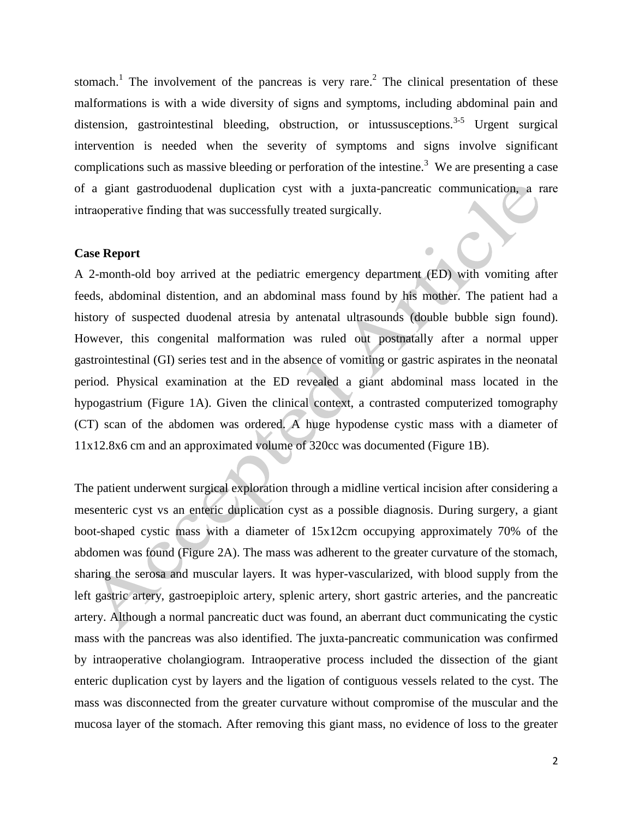stomach.<sup>1</sup> The involvement of the pancreas is very rare.<sup>2</sup> The clinical presentation of these malformations is with a wide diversity of signs and symptoms, including abdominal pain and distension, gastrointestinal bleeding, obstruction, or intussusceptions.<sup>3-5</sup> Urgent surgical intervention is needed when the severity of symptoms and signs involve significant complications such as massive bleeding or perforation of the intestine.<sup>3</sup> We are presenting a case of a giant gastroduodenal duplication cyst with a juxta-pancreatic communication, a rare intraoperative finding that was successfully treated surgically.

#### **Case Report**

A 2-month-old boy arrived at the pediatric emergency department (ED) with vomiting after feeds, abdominal distention, and an abdominal mass found by his mother. The patient had a history of suspected duodenal atresia by antenatal ultrasounds (double bubble sign found). However, this congenital malformation was ruled out postnatally after a normal upper gastrointestinal (GI) series test and in the absence of vomiting or gastric aspirates in the neonatal period. Physical examination at the ED revealed a giant abdominal mass located in the hypogastrium (Figure 1A). Given the clinical context, a contrasted computerized tomography (CT) scan of the abdomen was ordered. A huge hypodense cystic mass with a diameter of 11x12.8x6 cm and an approximated volume of 320cc was documented (Figure 1B).

The patient underwent surgical exploration through a midline vertical incision after considering a mesenteric cyst vs an enteric duplication cyst as a possible diagnosis. During surgery, a giant boot-shaped cystic mass with a diameter of 15x12cm occupying approximately 70% of the abdomen was found (Figure 2A). The mass was adherent to the greater curvature of the stomach, sharing the serosa and muscular layers. It was hyper-vascularized, with blood supply from the left gastric artery, gastroepiploic artery, splenic artery, short gastric arteries, and the pancreatic artery. Although a normal pancreatic duct was found, an aberrant duct communicating the cystic mass with the pancreas was also identified. The juxta-pancreatic communication was confirmed by intraoperative cholangiogram. Intraoperative process included the dissection of the giant enteric duplication cyst by layers and the ligation of contiguous vessels related to the cyst. The mass was disconnected from the greater curvature without compromise of the muscular and the mucosa layer of the stomach. After removing this giant mass, no evidence of loss to the greater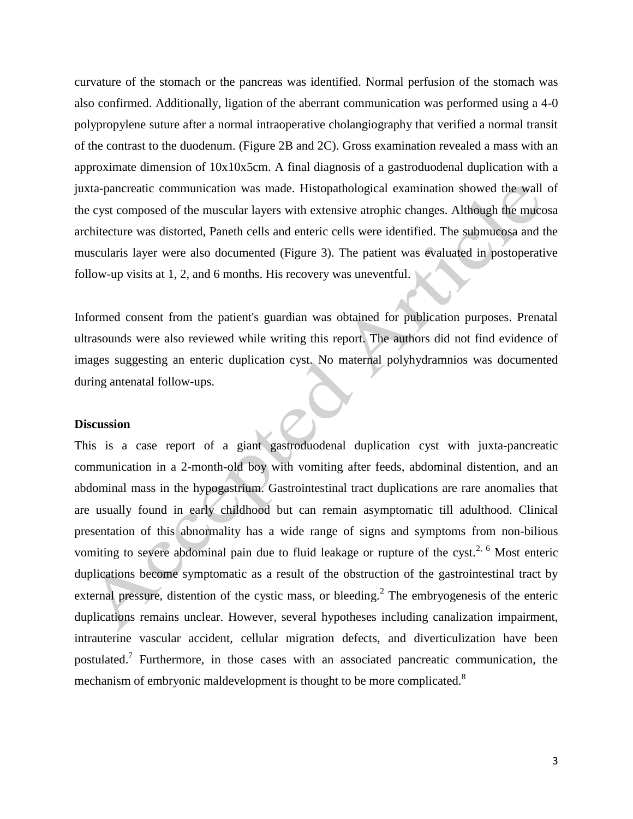curvature of the stomach or the pancreas was identified. Normal perfusion of the stomach was also confirmed. Additionally, ligation of the aberrant communication was performed using a 4-0 polypropylene suture after a normal intraoperative cholangiography that verified a normal transit of the contrast to the duodenum. (Figure 2B and 2C). Gross examination revealed a mass with an approximate dimension of 10x10x5cm. A final diagnosis of a gastroduodenal duplication with a juxta-pancreatic communication was made. Histopathological examination showed the wall of the cyst composed of the muscular layers with extensive atrophic changes. Although the mucosa architecture was distorted, Paneth cells and enteric cells were identified. The submucosa and the muscularis layer were also documented (Figure 3). The patient was evaluated in postoperative follow-up visits at 1, 2, and 6 months. His recovery was uneventful.

Informed consent from the patient's guardian was obtained for publication purposes. Prenatal ultrasounds were also reviewed while writing this report. The authors did not find evidence of images suggesting an enteric duplication cyst. No maternal polyhydramnios was documented during antenatal follow-ups.

#### **Discussion**

This is a case report of a giant gastroduodenal duplication cyst with juxta-pancreatic communication in a 2-month-old boy with vomiting after feeds, abdominal distention, and an abdominal mass in the hypogastrium. Gastrointestinal tract duplications are rare anomalies that are usually found in early childhood but can remain asymptomatic till adulthood. Clinical presentation of this abnormality has a wide range of signs and symptoms from non-bilious vomiting to severe abdominal pain due to fluid leakage or rupture of the cyst.<sup>2, 6</sup> Most enteric duplications become symptomatic as a result of the obstruction of the gastrointestinal tract by external pressure, distention of the cystic mass, or bleeding.<sup>2</sup> The embryogenesis of the enteric duplications remains unclear. However, several hypotheses including canalization impairment, intrauterine vascular accident, cellular migration defects, and diverticulization have been postulated.<sup>7</sup> Furthermore, in those cases with an associated pancreatic communication, the mechanism of embryonic maldevelopment is thought to be more complicated.<sup>8</sup>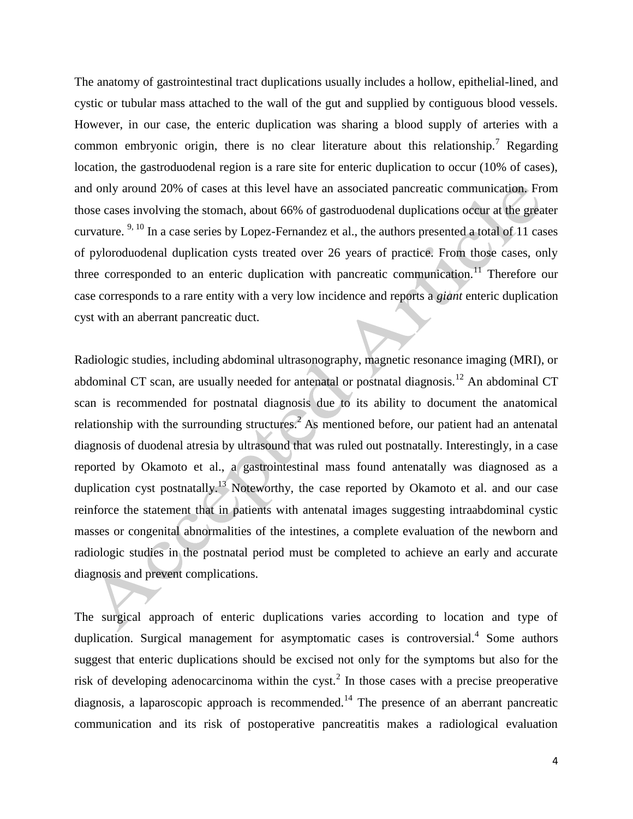The anatomy of gastrointestinal tract duplications usually includes a hollow, epithelial-lined, and cystic or tubular mass attached to the wall of the gut and supplied by contiguous blood vessels. However, in our case, the enteric duplication was sharing a blood supply of arteries with a common embryonic origin, there is no clear literature about this relationship.<sup>7</sup> Regarding location, the gastroduodenal region is a rare site for enteric duplication to occur (10% of cases), and only around 20% of cases at this level have an associated pancreatic communication. From those cases involving the stomach, about 66% of gastroduodenal duplications occur at the greater curvature. 9, 10 In a case series by Lopez-Fernandez et al., the authors presented a total of 11 cases of pyloroduodenal duplication cysts treated over 26 years of practice. From those cases, only three corresponded to an enteric duplication with pancreatic communication.<sup>11</sup> Therefore our case corresponds to a rare entity with a very low incidence and reports a *giant* enteric duplication cyst with an aberrant pancreatic duct.

Radiologic studies, including abdominal ultrasonography, magnetic resonance imaging (MRI), or abdominal CT scan, are usually needed for antenatal or postnatal diagnosis.<sup>12</sup> An abdominal CT scan is recommended for postnatal diagnosis due to its ability to document the anatomical relationship with the surrounding structures.<sup>2</sup> As mentioned before, our patient had an antenatal diagnosis of duodenal atresia by ultrasound that was ruled out postnatally. Interestingly, in a case reported by Okamoto et al., a gastrointestinal mass found antenatally was diagnosed as a duplication cyst postnatally.<sup>13</sup> Noteworthy, the case reported by Okamoto et al. and our case reinforce the statement that in patients with antenatal images suggesting intraabdominal cystic masses or congenital abnormalities of the intestines, a complete evaluation of the newborn and radiologic studies in the postnatal period must be completed to achieve an early and accurate diagnosis and prevent complications.

The surgical approach of enteric duplications varies according to location and type of duplication. Surgical management for asymptomatic cases is controversial.<sup>4</sup> Some authors suggest that enteric duplications should be excised not only for the symptoms but also for the risk of developing adenocarcinoma within the cyst.<sup>2</sup> In those cases with a precise preoperative diagnosis, a laparoscopic approach is recommended.<sup>14</sup> The presence of an aberrant pancreatic communication and its risk of postoperative pancreatitis makes a radiological evaluation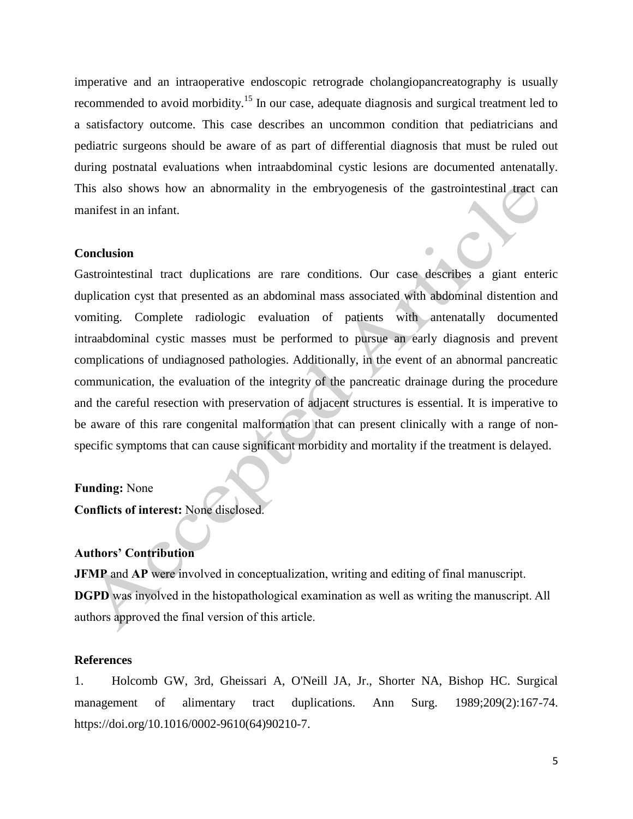imperative and an intraoperative endoscopic retrograde cholangiopancreatography is usually recommended to avoid morbidity.<sup>15</sup> In our case, adequate diagnosis and surgical treatment led to a satisfactory outcome. This case describes an uncommon condition that pediatricians and pediatric surgeons should be aware of as part of differential diagnosis that must be ruled out during postnatal evaluations when intraabdominal cystic lesions are documented antenatally. This also shows how an abnormality in the embryogenesis of the gastrointestinal tract can manifest in an infant.

#### **Conclusion**

Gastrointestinal tract duplications are rare conditions. Our case describes a giant enteric duplication cyst that presented as an abdominal mass associated with abdominal distention and vomiting. Complete radiologic evaluation of patients with antenatally documented intraabdominal cystic masses must be performed to pursue an early diagnosis and prevent complications of undiagnosed pathologies. Additionally, in the event of an abnormal pancreatic communication, the evaluation of the integrity of the pancreatic drainage during the procedure and the careful resection with preservation of adjacent structures is essential. It is imperative to be aware of this rare congenital malformation that can present clinically with a range of nonspecific symptoms that can cause significant morbidity and mortality if the treatment is delayed.

#### **Funding:** None

**Conflicts of interest:** None disclosed.

## **Authors' Contribution**

**JFMP** and **AP** were involved in conceptualization, writing and editing of final manuscript. **DGPD** was involved in the histopathological examination as well as writing the manuscript. All authors approved the final version of this article.

## **References**

1. Holcomb GW, 3rd, Gheissari A, O'Neill JA, Jr., Shorter NA, Bishop HC. Surgical management of alimentary tract duplications. Ann Surg. 1989;209(2):167-74. https://doi.org/10.1016/0002-9610(64)90210-7.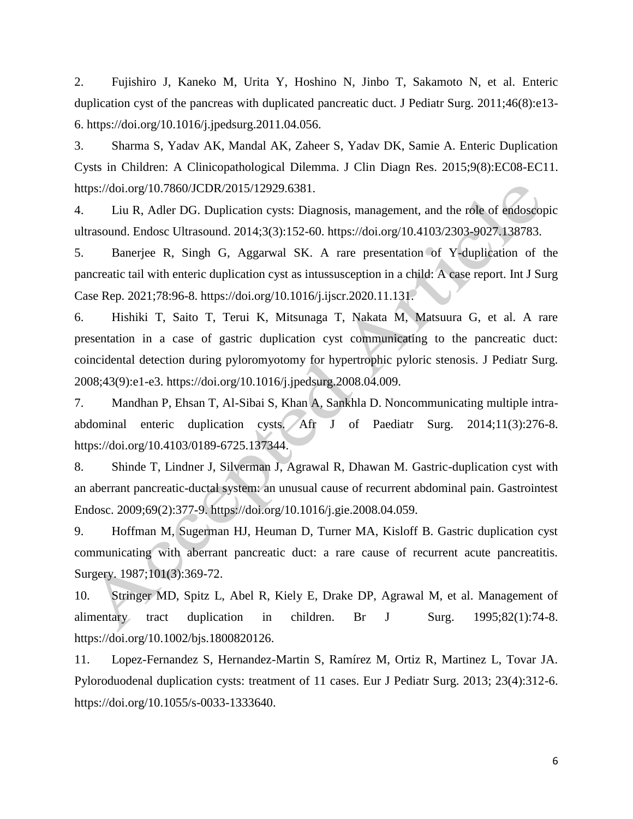2. Fujishiro J, Kaneko M, Urita Y, Hoshino N, Jinbo T, Sakamoto N, et al. Enteric duplication cyst of the pancreas with duplicated pancreatic duct. J Pediatr Surg. 2011;46(8):e13- 6. https://doi.org/10.1016/j.jpedsurg.2011.04.056.

3. Sharma S, Yadav AK, Mandal AK, Zaheer S, Yadav DK, Samie A. Enteric Duplication Cysts in Children: A Clinicopathological Dilemma. J Clin Diagn Res. 2015;9(8):EC08-EC11. https://doi.org/10.7860/JCDR/2015/12929.6381.

4. Liu R, Adler DG. Duplication cysts: Diagnosis, management, and the role of endoscopic ultrasound. Endosc Ultrasound. 2014;3(3):152-60. https://doi.org/10.4103/2303-9027.138783.

5. Banerjee R, Singh G, Aggarwal SK. A rare presentation of Y-duplication of the pancreatic tail with enteric duplication cyst as intussusception in a child: A case report. Int J Surg Case Rep. 2021;78:96-8. https://doi.org/10.1016/j.ijscr.2020.11.131.

6. Hishiki T, Saito T, Terui K, Mitsunaga T, Nakata M, Matsuura G, et al. A rare presentation in a case of gastric duplication cyst communicating to the pancreatic duct: coincidental detection during pyloromyotomy for hypertrophic pyloric stenosis. J Pediatr Surg. 2008;43(9):e1-e3. https://doi.org/10.1016/j.jpedsurg.2008.04.009.

7. Mandhan P, Ehsan T, Al-Sibai S, Khan A, Sankhla D. Noncommunicating multiple intraabdominal enteric duplication cysts. Afr J of Paediatr Surg. 2014;11(3):276-8. https://doi.org/10.4103/0189-6725.137344.

8. Shinde T, Lindner J, Silverman J, Agrawal R, Dhawan M. Gastric-duplication cyst with an aberrant pancreatic-ductal system: an unusual cause of recurrent abdominal pain. Gastrointest Endosc. 2009;69(2):377-9. https://doi.org/10.1016/j.gie.2008.04.059.

9. Hoffman M, Sugerman HJ, Heuman D, Turner MA, Kisloff B. Gastric duplication cyst communicating with aberrant pancreatic duct: a rare cause of recurrent acute pancreatitis. Surgery. 1987;101(3):369-72.

10. Stringer MD, Spitz L, Abel R, Kiely E, Drake DP, Agrawal M, et al. Management of alimentary tract duplication in children. Br J Surg. 1995;82(1):74-8. https://doi.org/10.1002/bjs.1800820126.

11. Lopez-Fernandez S, Hernandez-Martin S, Ramírez M, Ortiz R, Martinez L, Tovar JA. Pyloroduodenal duplication cysts: treatment of 11 cases. Eur J Pediatr Surg. 2013; 23(4):312-6. https://doi.org/10.1055/s-0033-1333640.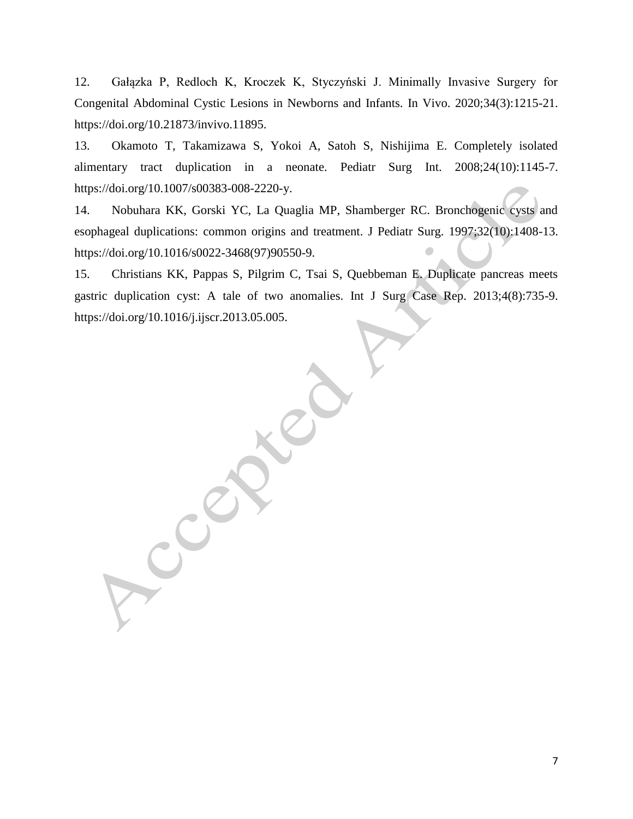12. Gałązka P, Redloch K, Kroczek K, Styczyński J. Minimally Invasive Surgery for Congenital Abdominal Cystic Lesions in Newborns and Infants. In Vivo. 2020;34(3):1215-21. https://doi.org/10.21873/invivo.11895.

13. Okamoto T, Takamizawa S, Yokoi A, Satoh S, Nishijima E. Completely isolated alimentary tract duplication in a neonate. Pediatr Surg Int. 2008;24(10):1145-7. https://doi.org/10.1007/s00383-008-2220-y.

14. Nobuhara KK, Gorski YC, La Quaglia MP, Shamberger RC. Bronchogenic cysts and esophageal duplications: common origins and treatment. J Pediatr Surg. 1997;32(10):1408-13. https://doi.org/10.1016/s0022-3468(97)90550-9.

15. Christians KK, Pappas S, Pilgrim C, Tsai S, Quebbeman E. Duplicate pancreas meets gastric duplication cyst: A tale of two anomalies. Int J Surg Case Rep. 2013;4(8):735-9. https://doi.org/10.1016/j.ijscr.2013.05.005.

7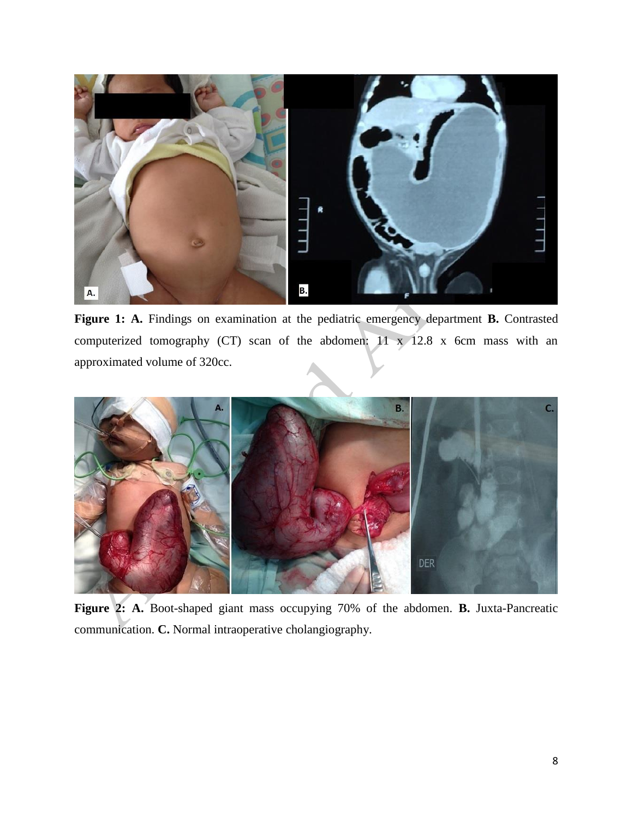

**Figure 1: A.** Findings on examination at the pediatric emergency department **B.** Contrasted computerized tomography (CT) scan of the abdomen:  $11 \times 12.8 \times 6$ cm mass with an approximated volume of 320cc.



**Figure 2: A.** Boot-shaped giant mass occupying 70% of the abdomen. **B.** Juxta-Pancreatic communication. **C.** Normal intraoperative cholangiography.